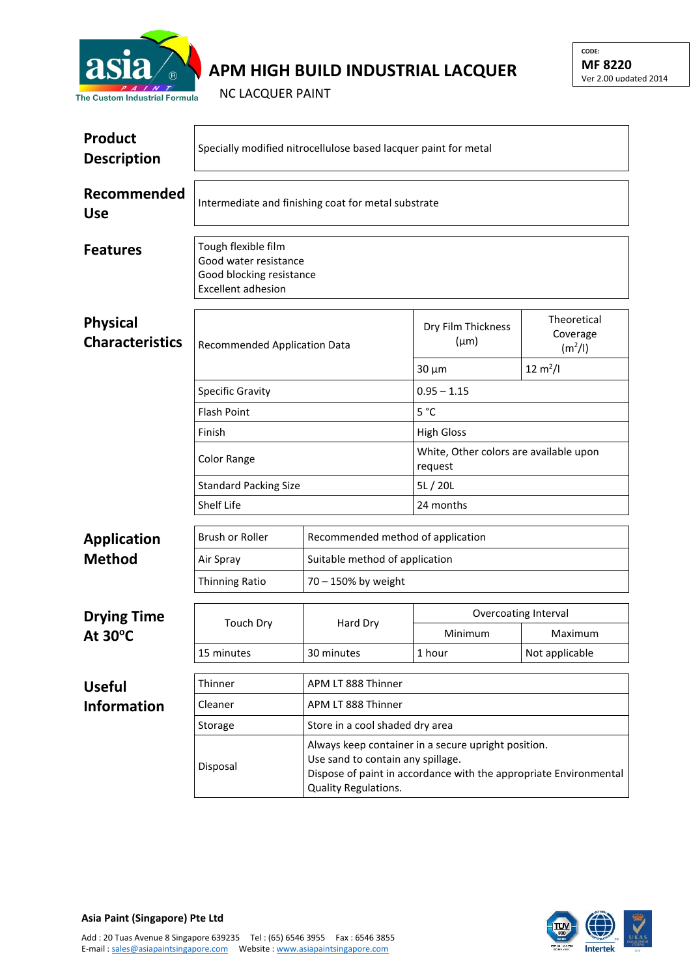

## **APM HIGH BUILD INDUSTRIAL LACQUER**

NC LACQUER PAINT

| Product<br><b>Description</b>             | Specially modified nitrocellulose based lacquer paint for metal                                       |                                 |                                                                                                                                                               |                                                |  |  |
|-------------------------------------------|-------------------------------------------------------------------------------------------------------|---------------------------------|---------------------------------------------------------------------------------------------------------------------------------------------------------------|------------------------------------------------|--|--|
| Recommended<br><b>Use</b>                 | Intermediate and finishing coat for metal substrate                                                   |                                 |                                                                                                                                                               |                                                |  |  |
| <b>Features</b>                           | Tough flexible film<br>Good water resistance<br>Good blocking resistance<br><b>Excellent adhesion</b> |                                 |                                                                                                                                                               |                                                |  |  |
| <b>Physical</b><br><b>Characteristics</b> | Recommended Application Data                                                                          |                                 | Dry Film Thickness<br>$(\mu m)$                                                                                                                               | Theoretical<br>Coverage<br>(m <sup>2</sup> /I) |  |  |
|                                           |                                                                                                       |                                 | $30 \mu m$                                                                                                                                                    | $12 \text{ m}^2$ /l                            |  |  |
|                                           | <b>Specific Gravity</b>                                                                               |                                 | $0.95 - 1.15$                                                                                                                                                 |                                                |  |  |
|                                           | <b>Flash Point</b>                                                                                    |                                 | 5 °C                                                                                                                                                          |                                                |  |  |
|                                           | Finish                                                                                                |                                 | <b>High Gloss</b>                                                                                                                                             |                                                |  |  |
|                                           | <b>Color Range</b>                                                                                    |                                 | White, Other colors are available upon<br>request                                                                                                             |                                                |  |  |
|                                           | <b>Standard Packing Size</b><br>Shelf Life                                                            |                                 | 5L / 20L                                                                                                                                                      |                                                |  |  |
|                                           |                                                                                                       |                                 | 24 months                                                                                                                                                     |                                                |  |  |
| <b>Application</b>                        | Brush or Roller                                                                                       |                                 | Recommended method of application                                                                                                                             |                                                |  |  |
| <b>Method</b>                             | Air Spray                                                                                             | Suitable method of application  |                                                                                                                                                               |                                                |  |  |
|                                           | <b>Thinning Ratio</b>                                                                                 | 70 - 150% by weight             |                                                                                                                                                               |                                                |  |  |
| <b>Drying Time</b><br>At $30^{\circ}$ C   | <b>Touch Dry</b>                                                                                      | Hard Dry                        | Overcoating Interval                                                                                                                                          |                                                |  |  |
|                                           |                                                                                                       |                                 | Minimum                                                                                                                                                       | Maximum                                        |  |  |
|                                           | 15 minutes                                                                                            | 30 minutes                      | 1 hour                                                                                                                                                        | Not applicable                                 |  |  |
| <b>Useful</b>                             | Thinner                                                                                               | APM LT 888 Thinner              |                                                                                                                                                               |                                                |  |  |
| <b>Information</b>                        | Cleaner                                                                                               | APM LT 888 Thinner              |                                                                                                                                                               |                                                |  |  |
|                                           | Storage                                                                                               | Store in a cool shaded dry area |                                                                                                                                                               |                                                |  |  |
|                                           | Disposal                                                                                              | Quality Regulations.            | Always keep container in a secure upright position.<br>Use sand to contain any spillage.<br>Dispose of paint in accordance with the appropriate Environmental |                                                |  |  |